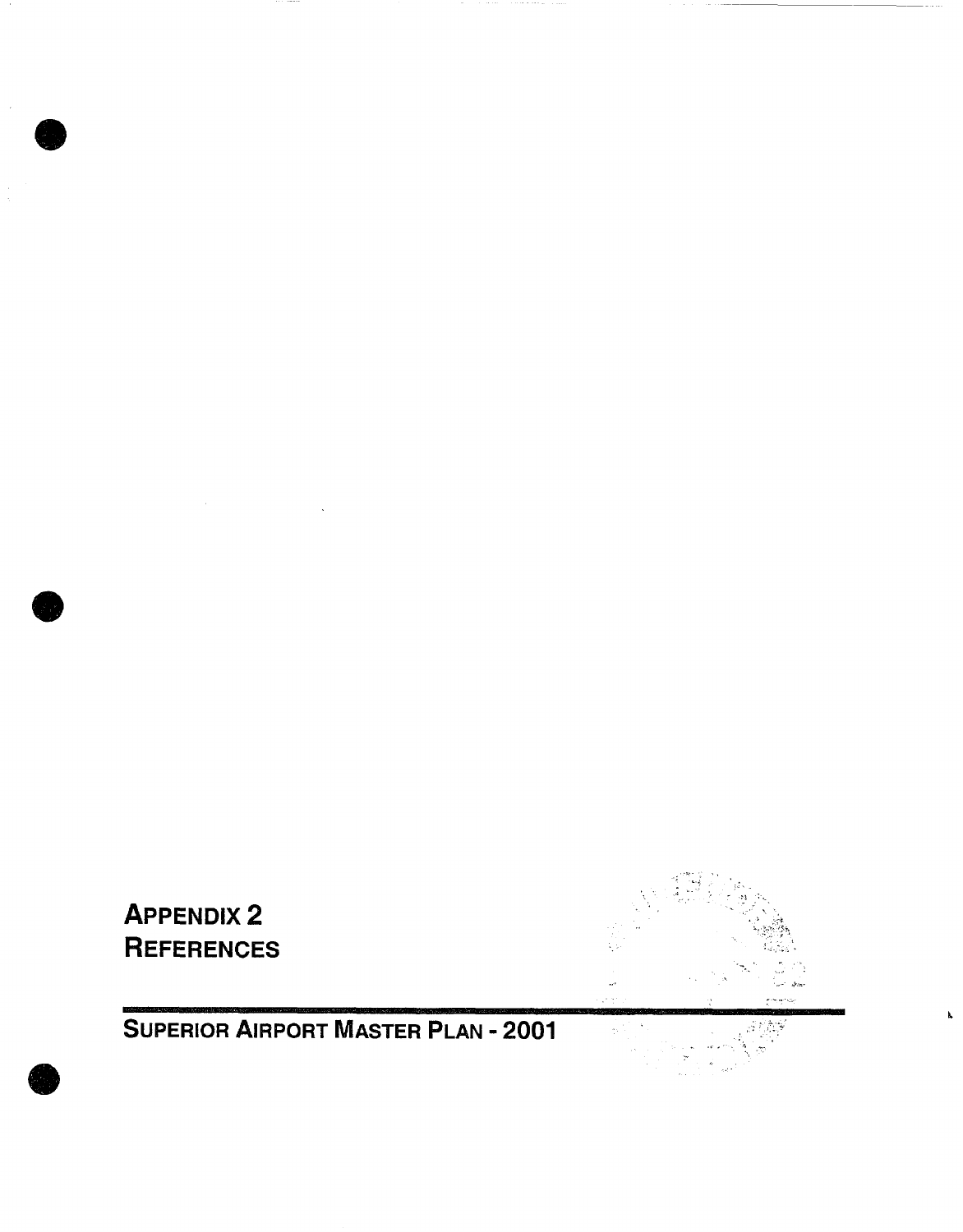

**O** 

**O** 

**O** 

**SUPERIOR AIRPORT MASTER PLAN - 2001** 

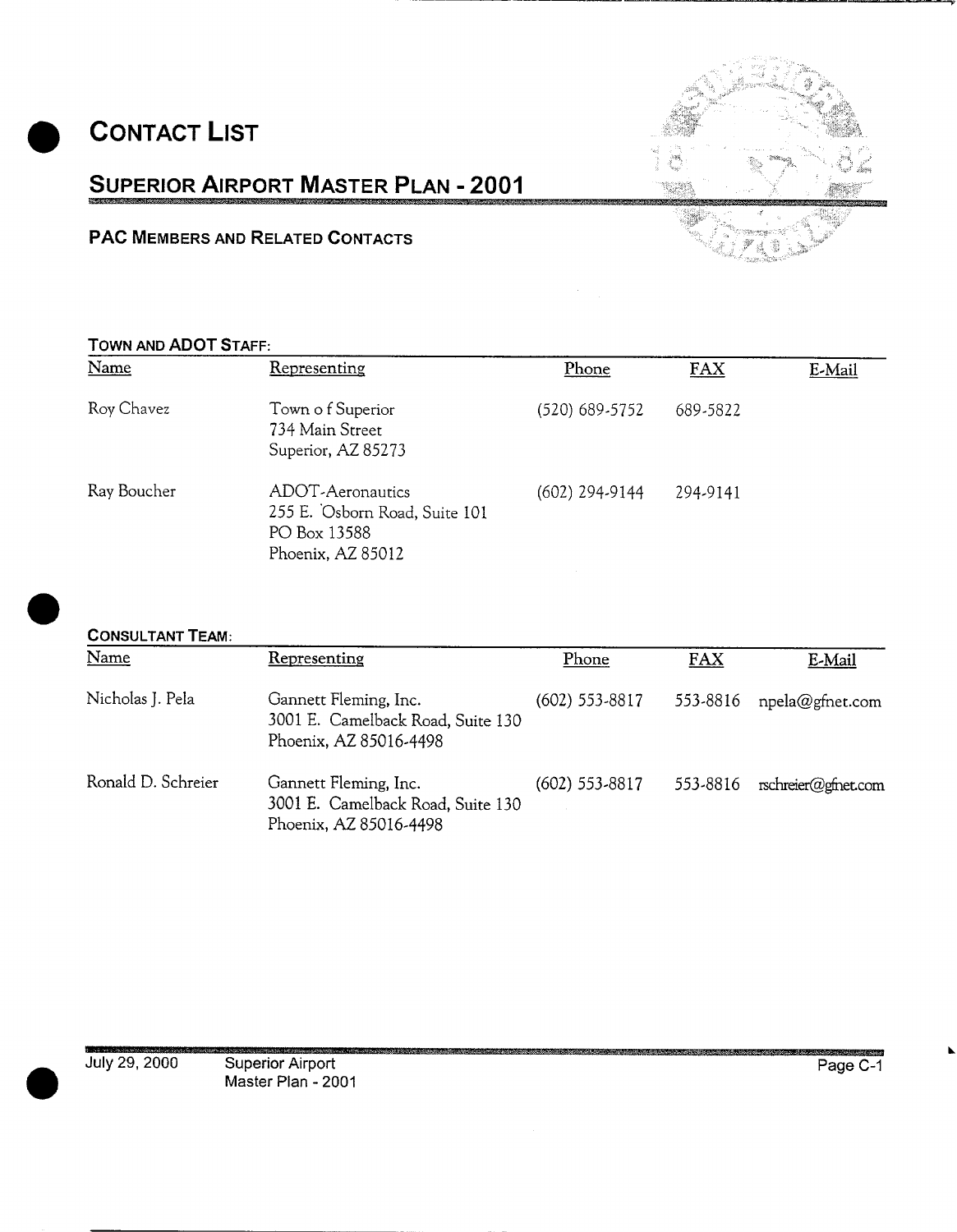**CONTACT LIST** 





# **PAC MEMBERS AND RELATED CONTACTS ;~ 'a.**

## **TOWN AND ADOT STAFF:**

| Name        | Representing                                                                           | Phone            | FAX      | E-Mail |
|-------------|----------------------------------------------------------------------------------------|------------------|----------|--------|
| Roy Chavez  | Town of Superior<br>734 Main Street<br>Superior, AZ 85273                              | (520) 689-5752   | 689-5822 |        |
| Ray Boucher | ADOT-Aeronautics<br>255 E. Osborn Road, Suite 101<br>PO Box 13588<br>Phoenix, AZ 85012 | $(602)$ 294-9144 | 294-9141 |        |

# **CONSULTANT TEAM:**

| Name               | Representing                                                                         | Phone            | <b>FAX</b> | E-Mail              |
|--------------------|--------------------------------------------------------------------------------------|------------------|------------|---------------------|
| Nicholas J. Pela   | Gannett Fleming, Inc.<br>3001 E. Camelback Road, Suite 130<br>Phoenix, AZ 85016-4498 | $(602)$ 553-8817 | 553-8816   | npela@gfnet.com     |
| Ronald D. Schreier | Gannett Fleming, Inc.<br>3001 E. Camelback Road, Suite 130<br>Phoenix, AZ 85016-4498 | $(602)$ 553-8817 | 553-8816   | rschreier@gfnet.com |

i,i!!u,,, , ,,,, , , , ..................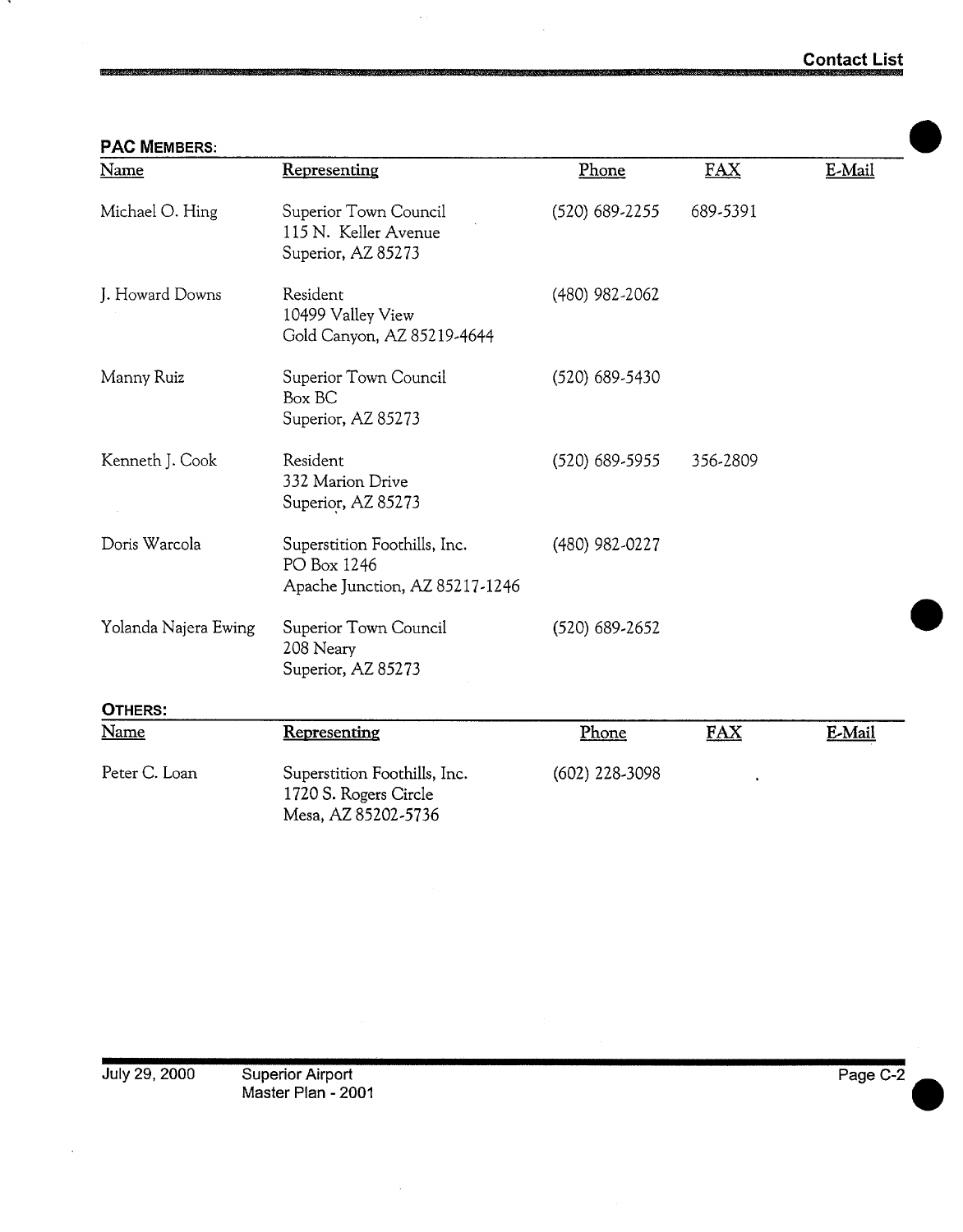| <b>PAC MEMBERS:</b>  |                                                                               |                  |            |        |  |
|----------------------|-------------------------------------------------------------------------------|------------------|------------|--------|--|
| Name                 | Representing                                                                  | Phone            | <b>FAX</b> | E-Mail |  |
| Michael O. Hing      | Superior Town Council<br>115 N. Keller Avenue<br>Superior, AZ 85273           | (520) 689-2255   | 689-5391   |        |  |
| J. Howard Downs      | Resident<br>10499 Valley View<br>Gold Canyon, AZ 85219-4644                   | (480) 982-2062   |            |        |  |
| Manny Ruiz           | Superior Town Council<br>Box BC<br>Superior, AZ 85273                         | (520) 689-5430   |            |        |  |
| Kenneth J. Cook      | Resident<br>332 Marion Drive<br>Superior, AZ 85273                            | $(520)$ 689-5955 | 356-2809   |        |  |
| Doris Warcola        | Superstition Foothills, Inc.<br>PO Box 1246<br>Apache Junction, AZ 85217-1246 | (480) 982-0227   |            |        |  |
| Yolanda Najera Ewing | Superior Town Council<br>208 Neary<br>Superior, AZ 85273                      | $(520)$ 689-2652 |            |        |  |
| OTHERS:              |                                                                               |                  |            |        |  |
| <b>Name</b>          | Representing                                                                  | Phone            | FAX        | E-Mail |  |
| Peter C. Loan        | Superstition Foothills, Inc.<br>1720 S. Rogers Circle<br>Mesa, AZ 85202-5736  | (602) 228-3098   |            |        |  |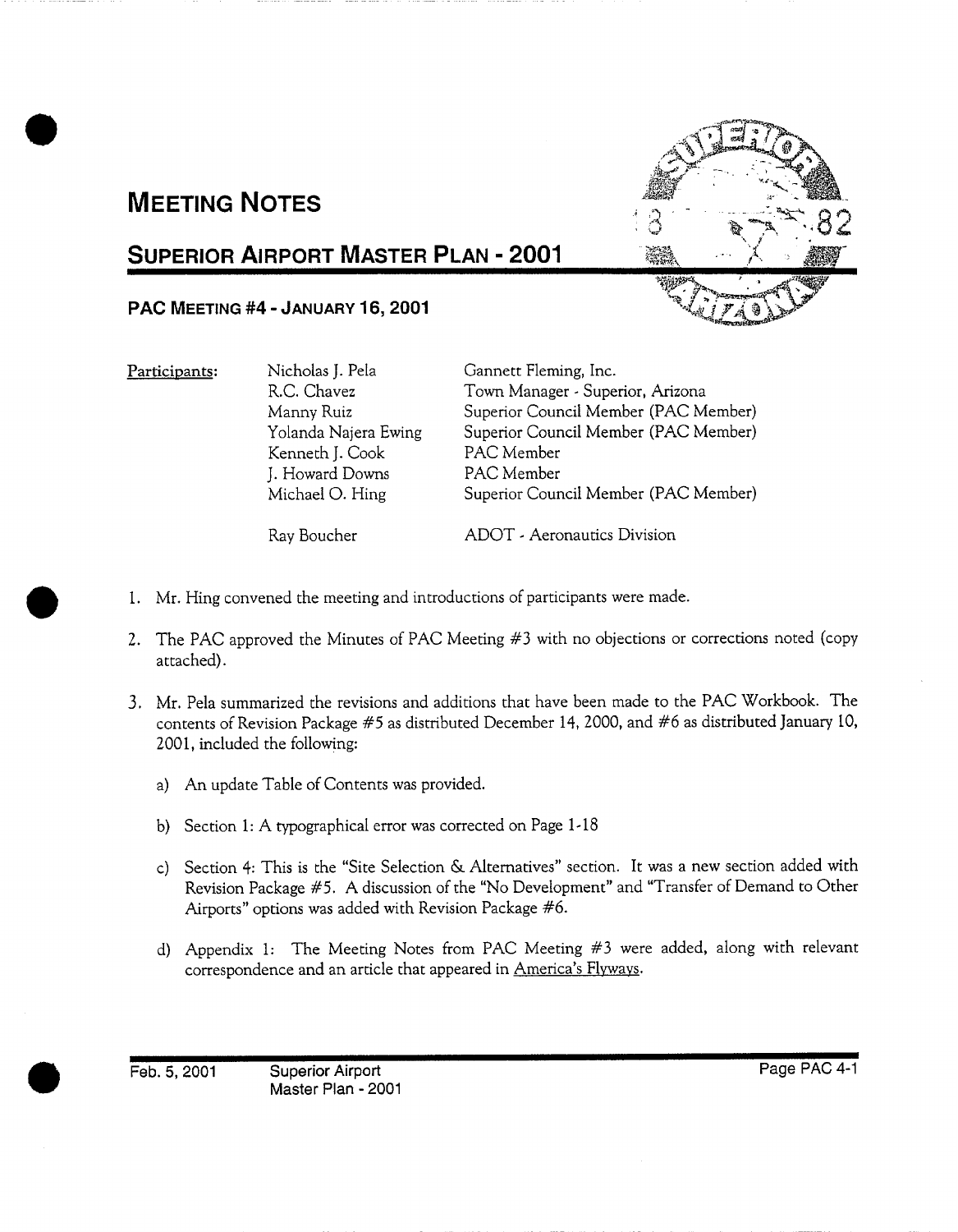# **MEETING NOTES**

# **SUPERIOR AIRPORT MASTER PLAN - 2001**

# **PAC MEETING #4 - JANUARY 16, 2001**

**Participants:** Nicholas J. Pela R.C. Chavez Manny Ruiz Yolanda Najera Ewing Kenneth J. Cook J. Howard Downs Michael O. Hing

Gannett Fleming, **Inc.**  Town Manager - Superior, Arizona Superior Council Member (PAC Member) Superior Council Member (PAC Member) PAC Member PAC Member Superior Council Member (PAC Member)

Ray Boucher

ADOT - Aeronautics Division

- . Mr. Hing convened the meeting and introductions of participants were made.
- 2. The PAC approved the Minutes of PAC Meeting #3 with no objections or corrections noted (copy attached).
- **.**  Mr. Pela summarized the revisions and additions that have been made to the PAC Workbook. The contents of Revision Package #5 as distributed December 14, 2000, and #6 as distributed January 10, 2001, included the following:
	- a) An update Table of Contents was provided.
	- b) Section 1: A typographical error was corrected on Page 1-18
	- c) Section 4: This is the "Site Selection & Alternatives" section. It was a new section added with Revision Package #5. A discussion of the "No Development" and "Transfer of Demand to Other Airports" options was added with Revision Package #6.
	- d) Appendix 1: The Meeting Notes from PAC Meeting #3 were added, along with relevant correspondence and an article that appeared in America's Flyways.

Feb. 5, 2001 Superior Airport Master Plan - 2001

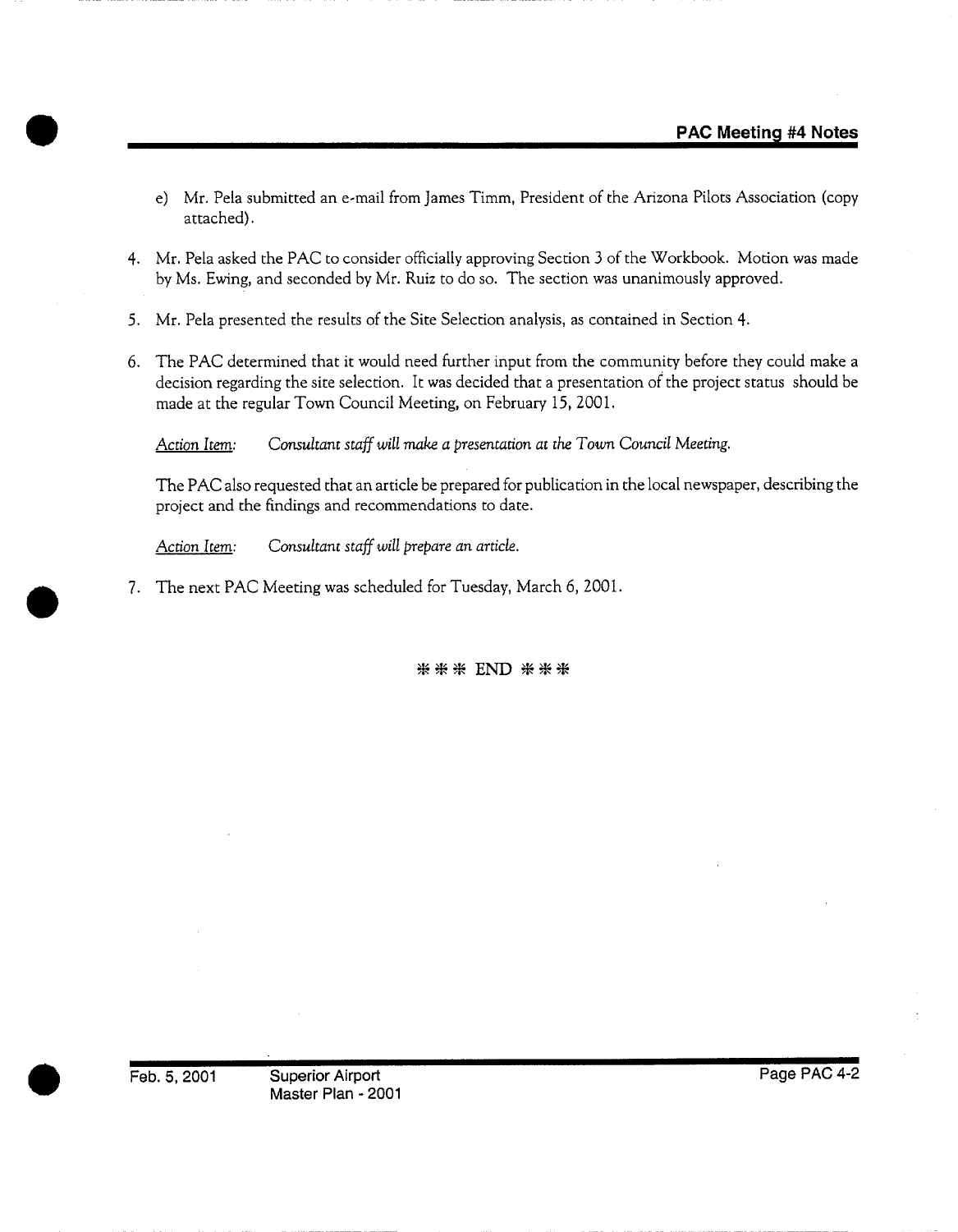- e) Mr. Pela submitted an e-mail from James Timm, President of the Arizona Pilots Association (copy attached).
- 4. Mr. Pela asked the PAC to consider officially approving Section 3 of the Workbook. Motion was made by Ms. Ewing, and seconded by Mr. Ruiz to do so. The section was unanimously approved.
- 5. Mr. Pela presented the results of the Site Selection analysis, as contained in Section 4.
- 6. The PAC determined that it would need further input from the community before they could make a decision regarding the site selection. It was decided that a presentation of the project status should be made at the regular Town Council Meeting, on February 15, 2001.

*Action Item: Consultant staff will make a presentation at the Town Council Meeting.* 

The PAC also requested that an article be prepared for publication in the local newspaper, describing the project and the findings and recommendations to date.

*Action Item: Consultant staff will prepare an article.* 

7. The next PAC Meeting was scheduled for Tuesday, March 6, 2001.

**米米米 END 米米米** 

Feb. 5, 2001 Superior Airport Master Plan - 2001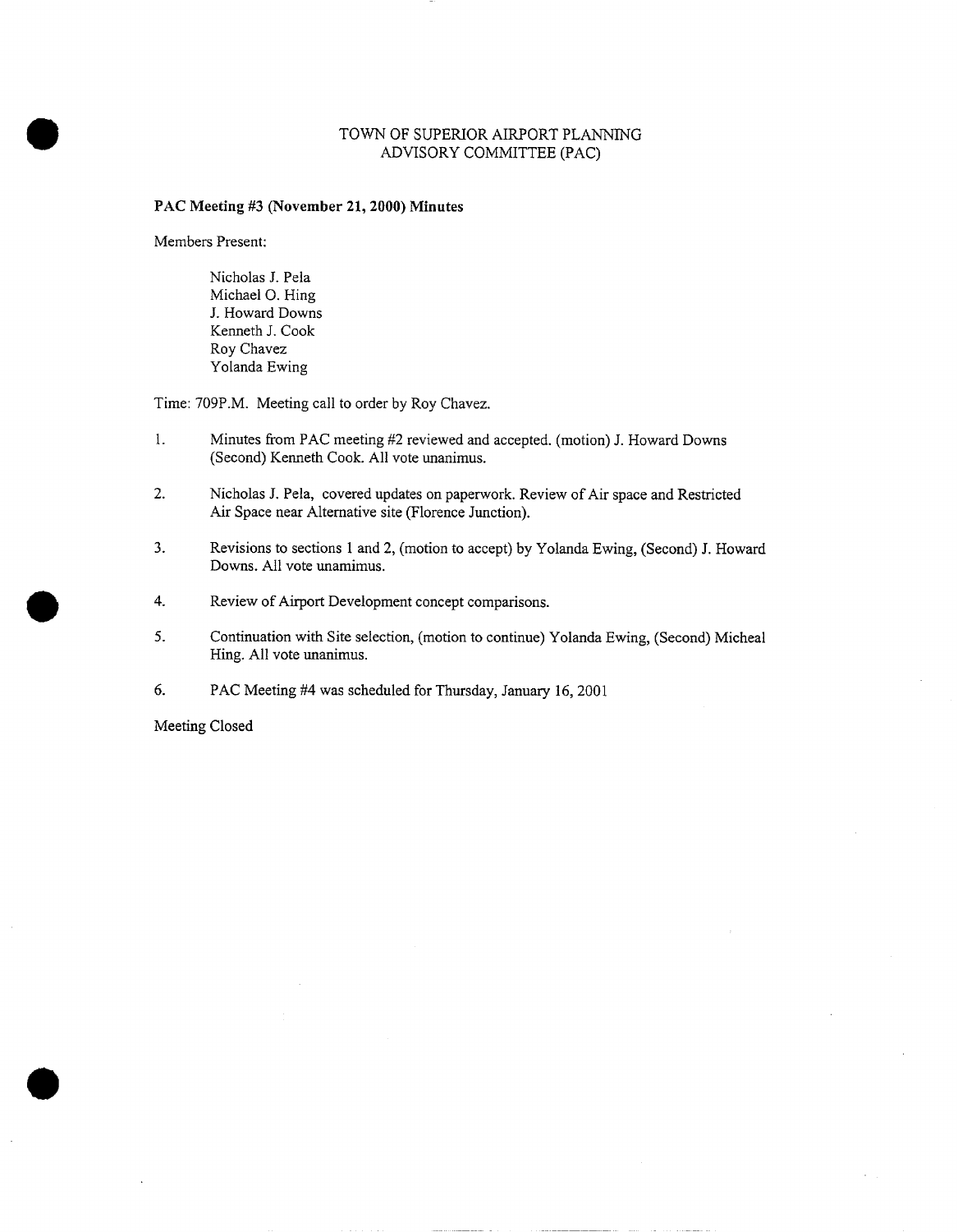#### TOWN OF SUPERIOR AIRPORT PLANNING ADVISORY COMMITTEE (PAC)

#### **PAC Meeting #3 (November 21, 2000) Minutes**

Members Present:

Nicholas J. Pela Michael O. Hing J. Howard Downs Kenneth J. Cook Roy Chavez Yolanda Ewing

Time: 709P.M. Meeting call to order by Roy Chavez.

- 1. Minutes from PAC meeting #2 reviewed and accepted. (motion) J. Howard Downs (Second) Kenneth Cook. All vote unanimus.
- 2. Nicholas J. Pela, covered updates on paperwork. Review of Air space and Restricted Air Space near Alternative site (Florence Junction).
- 3. Revisions to sections 1 and 2, (motion to accept) by Yolanda Ewing, (Second) J. Howard Downs. All vote unamimus.
- 4. Review of Airport Development concept comparisons.
- 5. Continuation with Site selection, (motion to continue) Yolanda Ewing, (Second) Micheal Hing. All vote unanimus.
- 6. PAC Meeting #4 was scheduled for Thursday, January 16, 2001

Meeting Closed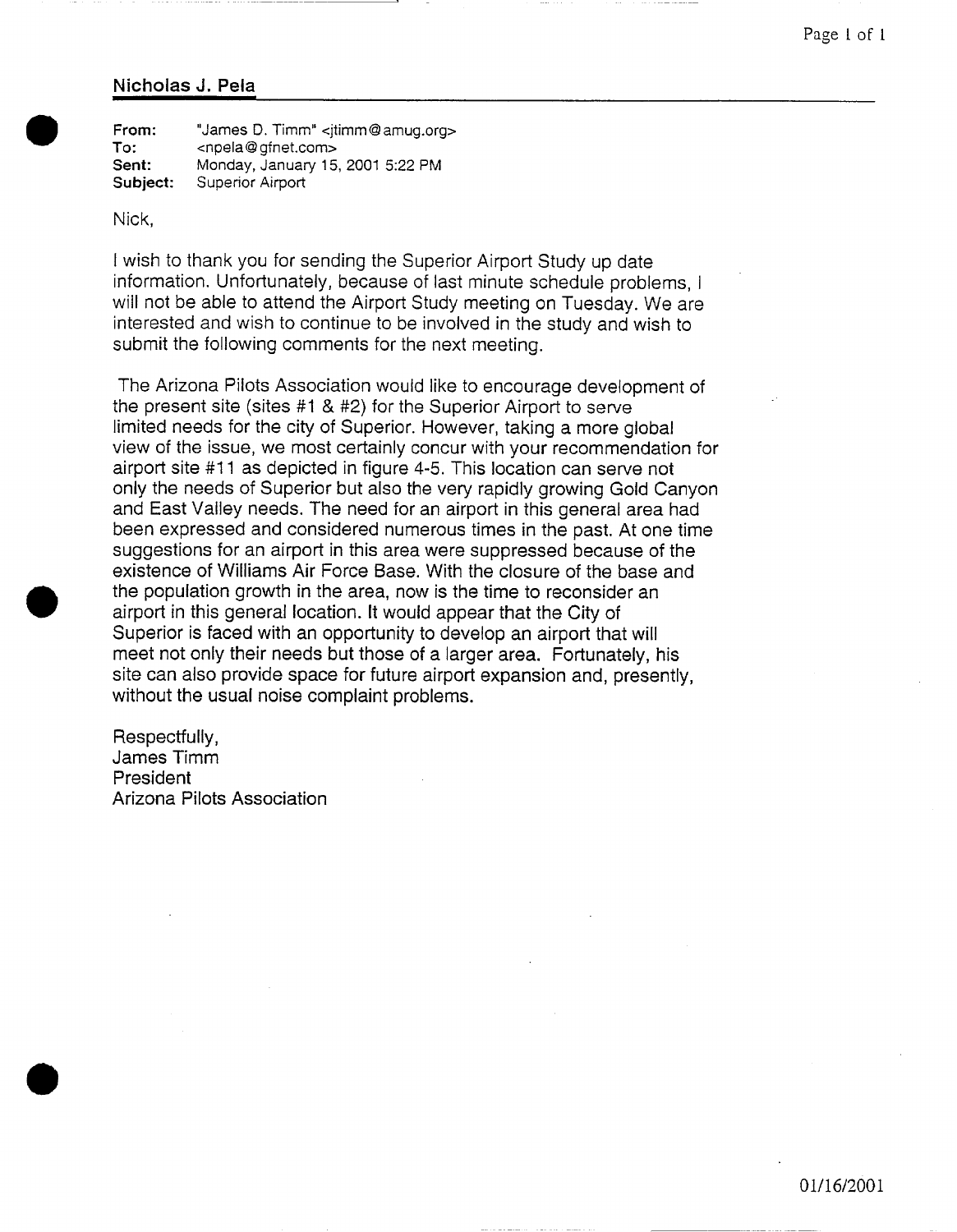#### **Nicholas J. Pela**

**From: To: Sent: Subject:**  "James D. Timm" <itimm@ amug.org> <npela @ gfnet.com> Monday, January 15, 2001 5:22 PM Superior Airport

Nick,

I wish to thank you for sending the Superior Airport Study up date information. Unfortunately, because of last minute schedule problems, I will not be able to attend the Airport Study meeting on Tuesday. We are interested and wish to continue to be involved in the study and wish to submit the following comments for the next meeting.

The Arizona Pilots Association would like to encourage development of the present site (sites #1 & #2) for the Superior Airport to serve limited needs for the city of Superior. However, taking a more global view of the issue, we most certainly concur with your recommendation for airport site #11 as depicted in figure 4-5. This location can serve not only the needs of Superior but also the very rapidly growing Gold Canyon and East Valley needs. The need for an airport in this general area had been expressed and considered numerous times in the past. At one time suggestions for an airport in this area were suppressed because of the existence of Williams Air Force Base. With the closure of the base and the population growth in the area, now is the time to reconsider an airport in this general location. It would appear that the City of Superior is faced with an opportunity to develop an airport that will meet not only their needs but those of a larger area. Fortunately, his site can also provide space for future airport expansion and, presently, without the usual noise complaint problems.

Respectfully, James Timm President Arizona Pilots Association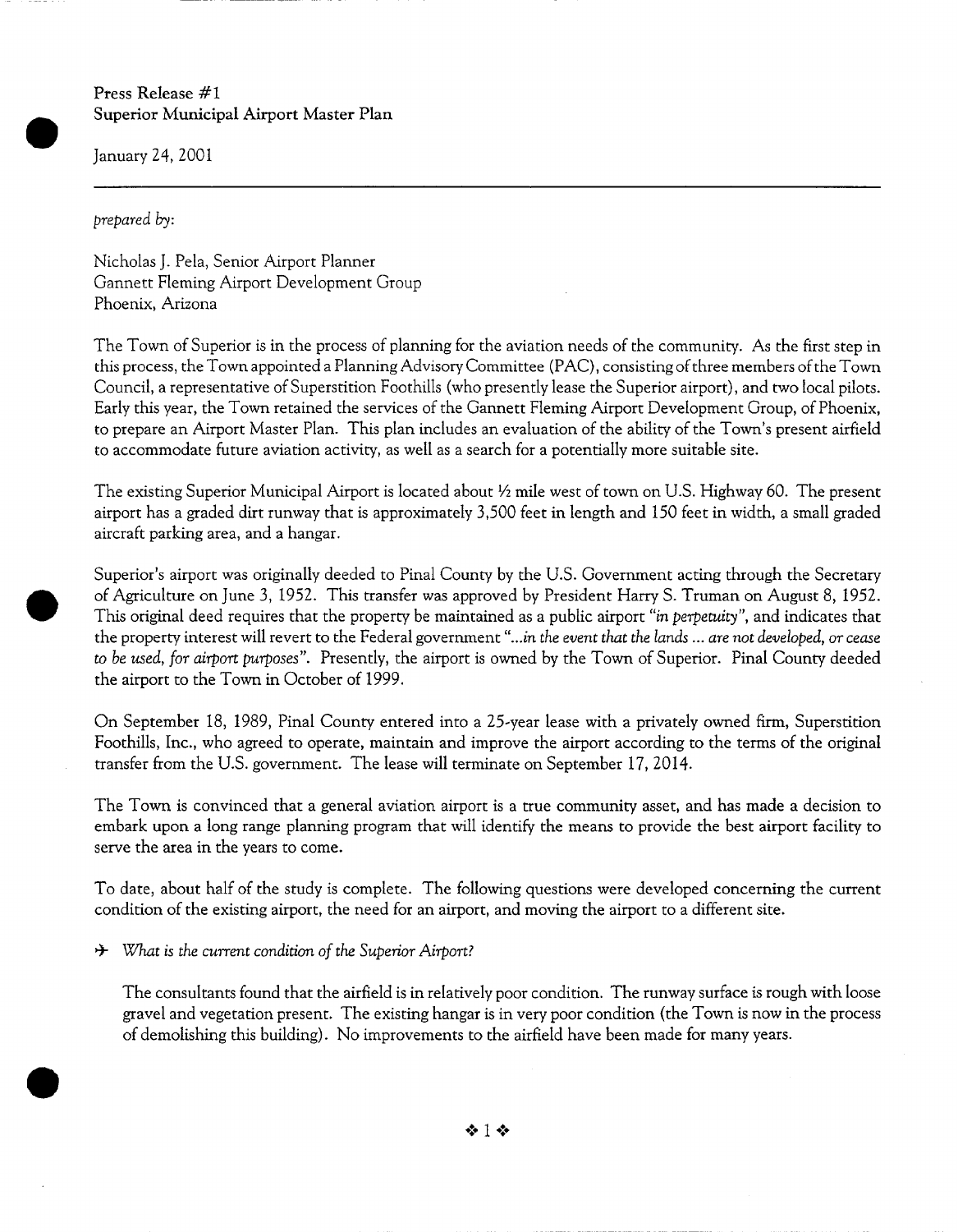Press Release **#I**  Superior Municipal Airport Master Plan

January 24, 2001

*prepared by:* 

Nicholas J. Pela, Senior Airport Planner Gannett Fleming Airport Development Group Phoenix, Arizona

The Town of Superior is in the process of planning for the aviation needs of the community. As the first step in this process, the Town appointed a Planning Advisory Committee (PAC), consisting of three members of the Town Council, a representative of Superstition Foothills (who presently lease the Superior airport), and two local pilots. Early this year, the Town retained the services of the Gannett Fleming Airport Development Group, of Phoenix, to prepare an Airport Master Plan. This plan includes an evaluation of the ability of the Town's present airfield to accommodate future aviation activity, as well as a search for a potentially more suitable site.

The existing Superior Municipal Airport is located about ½ mile west of town on U.S. Highway 60. The present airport has a graded dirt runway that is approximately 3,500 feet in length and 150 feet in width, a small graded aircraft parking area, and a hangar.

Superior's airport was originally deeded to Pinal County by the U.S. Government acting through the Secretary of Agriculture on June 3, 1952. This transfer was approved by President Harry S. Truman on August 8, 1952. This original deed requires that the property be maintained as a public airport *"in perpetuity",* and indicates that the property interest will revert to the Federal government *"...in the event that the lands ... are not developed, or cease to be used, for airport purposes".* Presently, the airport is owned by the Town of Superior. Pinal County deeded the airport to the Town in October of 1999.

On September I8, 1989, Pinal County entered into a 25-year lease with a privately owned firm, Superstition Foothills, Inc., who agreed to operate, maintain and improve the airport according to the terms of the original transfer from the U.S. government. The lease will terminate on September 17, 2014.

The Town is convinced that a general aviation airport is a true community asset, and has made a decision to embark upon a long range planning program that will identify the means to provide the best airport facility to serve the area in the years to come.

To date, about half of the study is complete. The following questions were developed concerning the current condition of the existing airport, the need for an airport, and moving the airport to a different site.

<sup>+</sup> *What is the current condition of the Superior Airport?* 

The consultants found that the airfield is in relatively poor condition. The runway surface is rough with loose gravel and vegetation present. The existing hangar is in very poor condition (the Town is now in the process of demolishing this building). No improvements to the airfield have been made for many years.

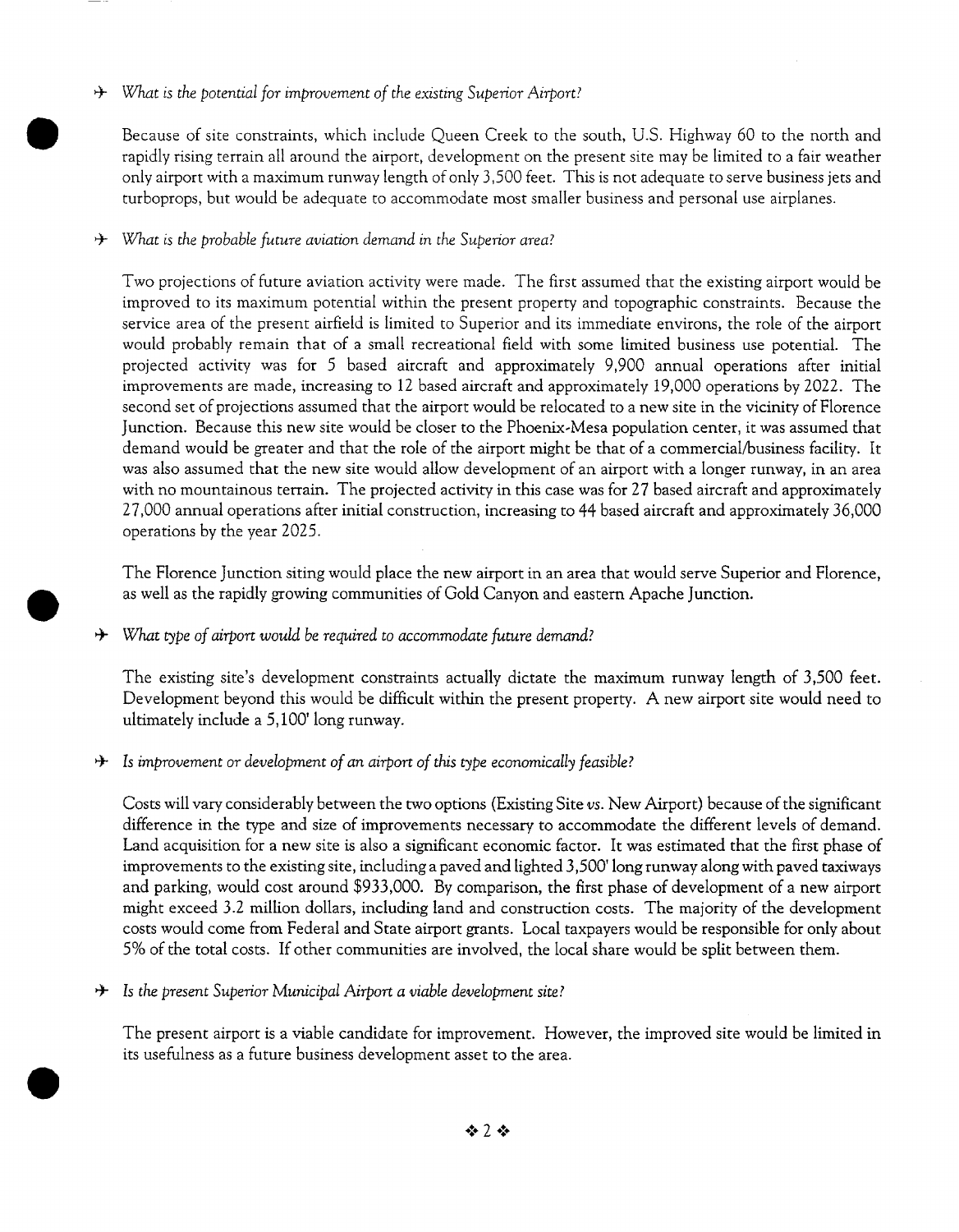### *or What is the potential for improvement of the existing Superior Airport?*

Because of site constraints, which include Queen Creek to the south, U.S. Highway 60 to the north and rapidly rising terrain all around the airport, development on the present site may be limited to a fair weather only airport with a maximum runway length of only 3,500 feet. This is not adequate to serve business jets and turboprops, but would be adequate to accommodate most smaller business and personal use airplanes.

## *or What is the probable future aviation demand in the Superior area?*

Two projections of future aviation activity were made. The first assumed that the existing airport would be improved to its maximum potential within the present property and topographic constraints. Because the service area of the present airfield is limited to Superior and its immediate environs, the role of the airport would probably remain that of a small recreational field with some limited business use potential. The projected activity was for 5 based aircraft and approximately 9,900 annual operations after initial improvements are made, increasing to 12 based aircraft and approximately 19,000 operations by 2022. The second set of projections assumed that the airport would be relocated to a new site in the vicinity of Florence Junction. Because this new site would be closer to the Phoenix-Mesa population center, it was assumed that demand would be greater and that the role of the airport might be that of a commercial/business facility. It was also assumed that the new site would allow development of an airport with a longer runway, in an area with no mountainous terrain. The projected activity in this case was for 27 based aircraft and approximately 27,000 annual operations after initial construction, increasing to 44 based aircraft and approximately 36,000 operations by the year 2025.

The Florence Junction siting would place the new airport in an area that would serve Superior and Florence, as well as the rapidly growing communities of Gold Canyon and eastern Apache Junction.

*a* What type of airport would be required to accommodate future demand?

The existing site's development constraints actually dictate the maximum runway length of 3,500 feet. Development beyond this would be difficult within the present property. A new airport site would need to ultimately include a 5,100' long runway.

*A* Is improvement or development of an airport of this type economically feasible?

Costs will vary considerably between the two options (Existing Site *vs.* New Airport) because of the significant difference in the type and size of improvements necessary to accommodate the different levels of demand. Land acquisition for a new site is also a significant economic factor. It was estimated that the first phase of improvements to the existing site, including a paved and lighted 3,500' long runway along with paved taxiways and parking, would cost around \$933,000. By comparison, the first phase of development of a new airport might exceed 3.2 million dollars, including land and construction costs. The majority of the development costs would come from Federal and State airport grants. Local taxpayers would be responsible for only about 5% of the total costs. If other communities are involved, the local share would be split between them.

*a* Is the present Superior Municipal Airport a viable development site?

The present airport is a viable candidate for improvement. However, the improved site would be limited in its usefulness as a future business development asset to the area.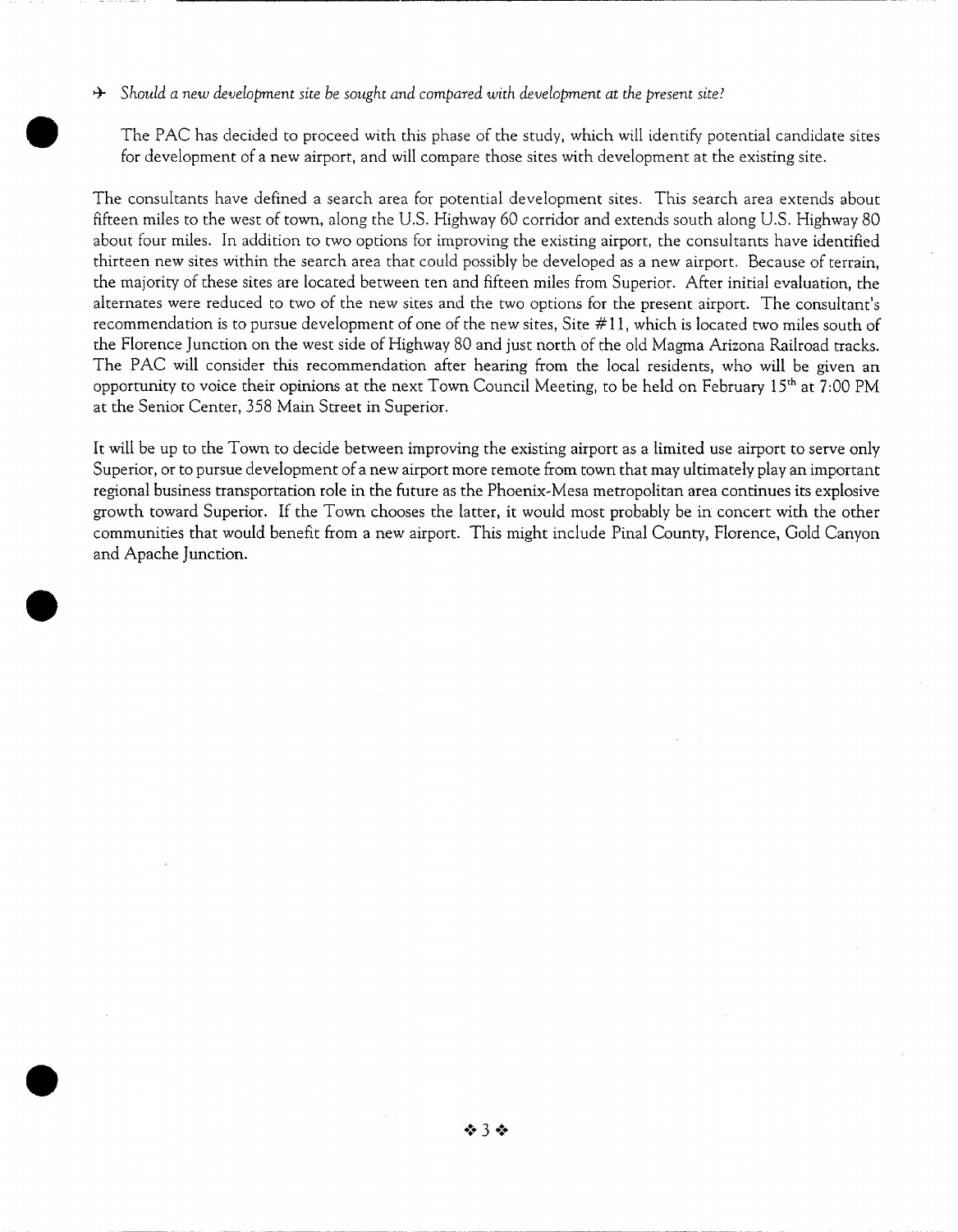*Should a new development site be sought and compared with development at the present site?* 

The PAC has decided to proceed with this phase of the study, which will identify potential candidate sites for development of a new airport, and will compare those sites with development at the existing site.

The consultants have defined a search area for potential development sites. This search area extends about fifteen miles to the west of town, along the U.S. Highway 60 corridor and extends south along U.S. Highway 80 about four miles. In addition to two options for improving the existing airport, the consultants have identified thirteen new sites within the search area that could possibly be developed as a new airport. Because of terrain, the majority of these sites are located between ten and fifteen miles from Superior. After initial evaluation, the alternates were reduced to two of the new sites and the two options for the present airport. The consultant's recommendation is to pursue development of one of the new sites, Site # 1 l, which is located two miles south of the Florence Junction on the west side of Highway 80 and just north of the old Magma Arizona Railroad tracks. The PAC will consider this recommendation after hearing from the local residents, who will be given an opportunity to voice their opinions at the next Town Council Meeting, to be held on February 15<sup>th</sup> at 7:00 PM at the Senior Center, 358 Main Street in Superior.

It will be up to the Town to decide between improving the existing airport as a limited use airport to serve only Superior, or to pursue development of a new airport more remote from town that may ultimately play an important regional business transportation role in the future as the Phoenix-Mesa metropolitan area continues its explosive growth toward Superior. If the Town chooses the latter, it would most probably be in concert with the other communities that would benefit from a new airport. This might include Pinal County, Florence, Gold Canyon and Apache Junction.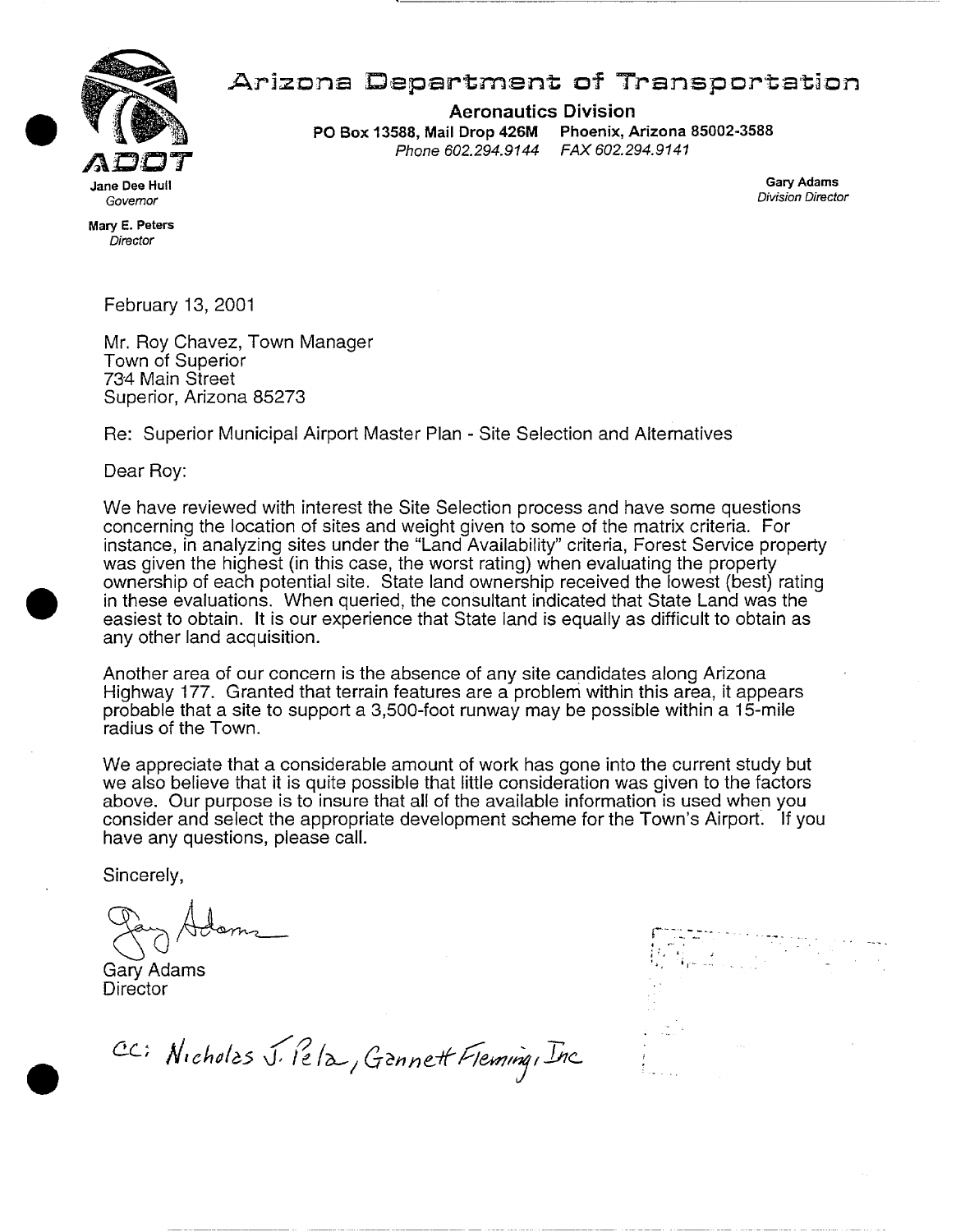

# **Arizona Department of Transportation**

**Aeronautics Division**  PO Box 13588, Mail **Drop 426M Phoenix, Arizona** 85002-3588 *Phone 602.294.9144* 

'4, ~t ......

**Gary Adams**  *Division Director* 

Mary E. **Peters**  *Director* 

February 13, 2001

Mr. Roy Chavez, Town Manager Town of Superior 734 Main Street Superior, Arizona 85273

Re: Superior Municipal Airport Master Plan - Site Selection and Altematives

Dear Roy:

We have reviewed with interest the Site Selection process and have some questions concerning the location of sites and weight given to some of the matrix criteria. For instance, in analyzing sites under the "Land Availability" criteria, Forest Service property was given the highest (in this case, the worst rating) when evaluating the property ownership of each potential site. State land ownership received the lowest (best) rating in these evaluations. When queried, the consultant indicated that State Land was the easiest to obtain. It is our experience that State land is equally as difficult to obtain as any other land acquisition.

Another area of our concern is the absence of any site candidates along Arizona Highway 177. Granted that terrain features are a problem within this area, it appears probable that a site to support a 3,500-foot runway may be possible within a 15-mile radius of the Town.

We appreciate that a considerable amount of work has gone into the current study but we also believe that it is quite possible that little consideration was given to the factors above. Our purpose is to insure that all of the available information is used when you consider and select the appropriate development scheme for the Town's AirporL If you have any questions, please call.

Sincerely,

Gary Adams **Director** 

CC: Nicholas J. Pela, Gannett Fleming, Inc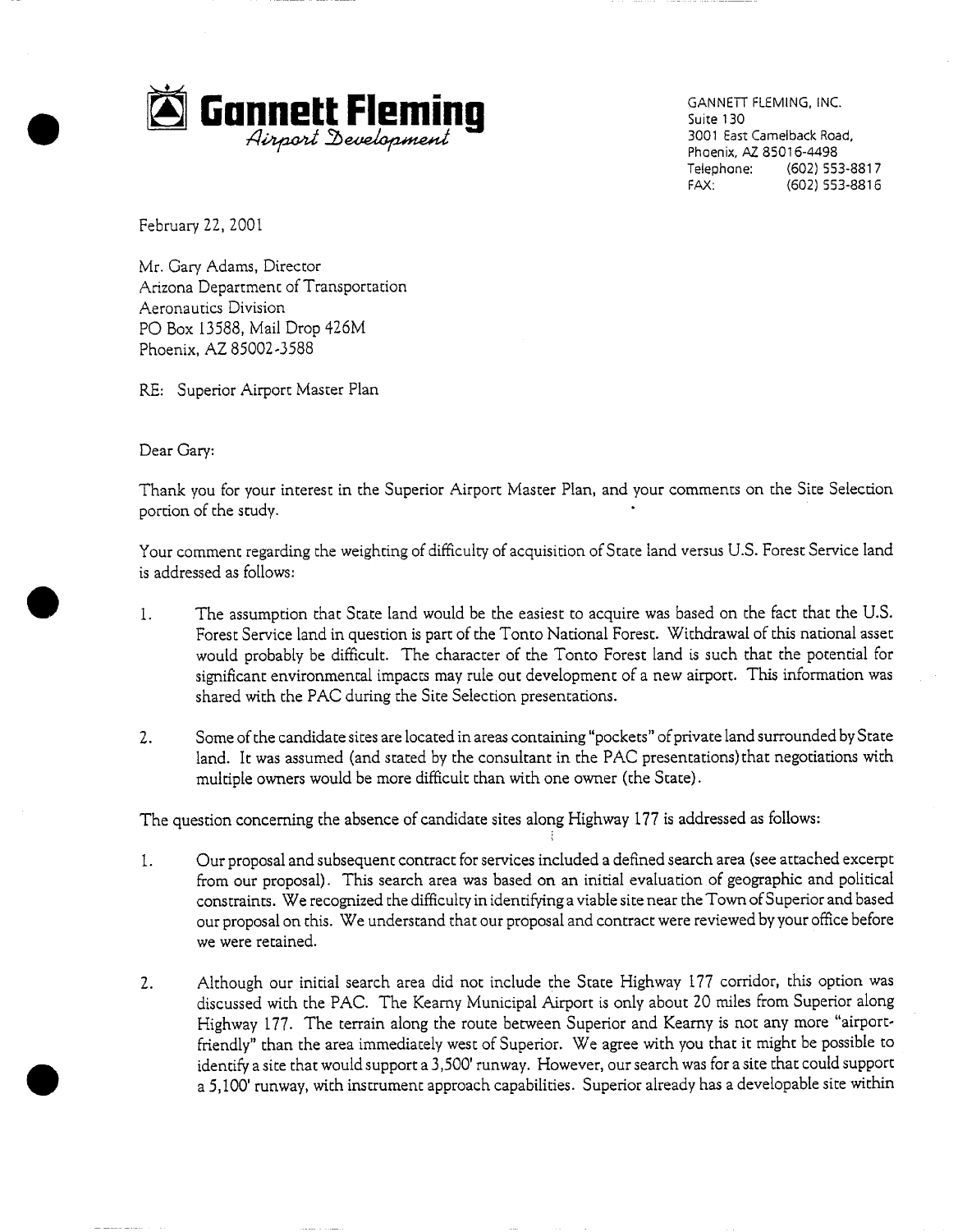

GANNETT FLEMING, INC. Suite 130 3001 East Camelback Road, Phoenix, AZ 85016-4498 Telephone: (602) 553-8817<br>FAX: (602) 553-8816 (602) 553-8816

February 22, 2001

Mr. Gary Adams, Director Arizona Department of Transportation Aeronautics Division PO Box 13588, Mail Drop 426M Phoenix, AZ 85002-3588

RE: Superior Airport Master Plan

Dear Gary:

Thank you for your interest in the Superior Airport Master Plan, and your comments on the Site Selection portion of the study.

Your comment regarding the weighting of difficulty of acquisition of State land versus U.S. Forest Service land is addressed as follows:

- 1. The assumption that State land would be the easiest to acquire was based on the fact that the U.S. Forest Service land in question is part of the Tonto National Forest. Withdrawal of this national asset would probably be difficult. The character of the Tonto Forest land is such that the potential for significant environmental impacts may rule out development of a new airport. This information was shared with the PAC during the Site Selection presentations.
- . Some of the candidate sites are located in areas containing "pockets" of private land surrounded by State land. It was assumed (and stated by the consultant in the PAC presentations)that negotiations with multiple owners would be more difficult than with one owner (the State).

The question concerning the absence of candidate sites along Highway 177 is addressed as follows:

- i. Our proposal and subsequent contract for services included a defined search area (see attached excerpt from our proposal). This search area was based on an initial evaluation of geographic and political constraints. We recognized the difficulty in identifying a viable site near the Town of Superior and based our proposal on this. We understand that our proposal and contract were reviewed by your office before we were retained.
- . Although our initial search area did not include the State Highway 177 corridor, this option was discussed with the PAC. The Kearny Municipal Airport is only about 20 miles from Superior along Highway 177. The terrain along the route between Superior and Kearny is not any more "airportfriendly" than the area immediately west of Superior. We agree with you that it might be possible to identify a site that would support a 3,500' runway. However, our search was for a site that could support a 5,100' runway, with instrument approach capabilities. Superior already has a developable site within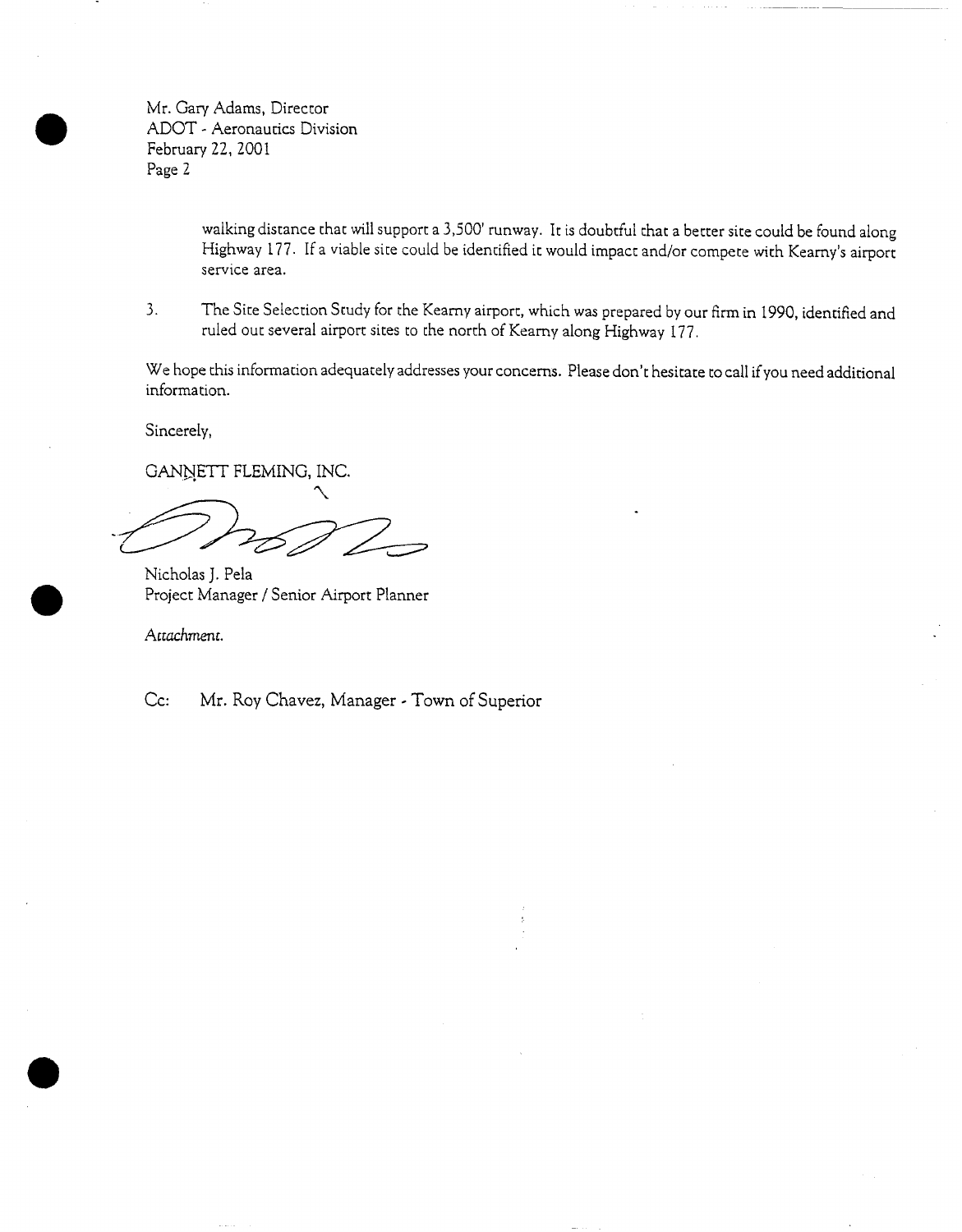Mr. Gary Adams, Director ADOT - Aeronautics Division February 22, 2001 Page 2

> walking distance that will support a 3,500' runway. It is doubtful that a better site could be found along Highway 177. If a viable site could be identified it would impact and/or compete with Kearny's airport service area.

. The Site Selection Study for the Kearny airport, which was prepared by our firm in 1990, identified and ruled out several airport sites to the north of Kearny along Highway 177.

We hope this information adequately addresses your concerns. Please don't hesitate to call if you need additional information.

Sincerely,

**GANNETT FLEMING, INC.** 

 $\mathcal{N}_{\mathcal{N}}$ 

Nicholas J. Pela Project Manager / Senior Airport Planner

*Attachment.* 

Cc: Mr. Roy Chavez, Manager - Town of Superior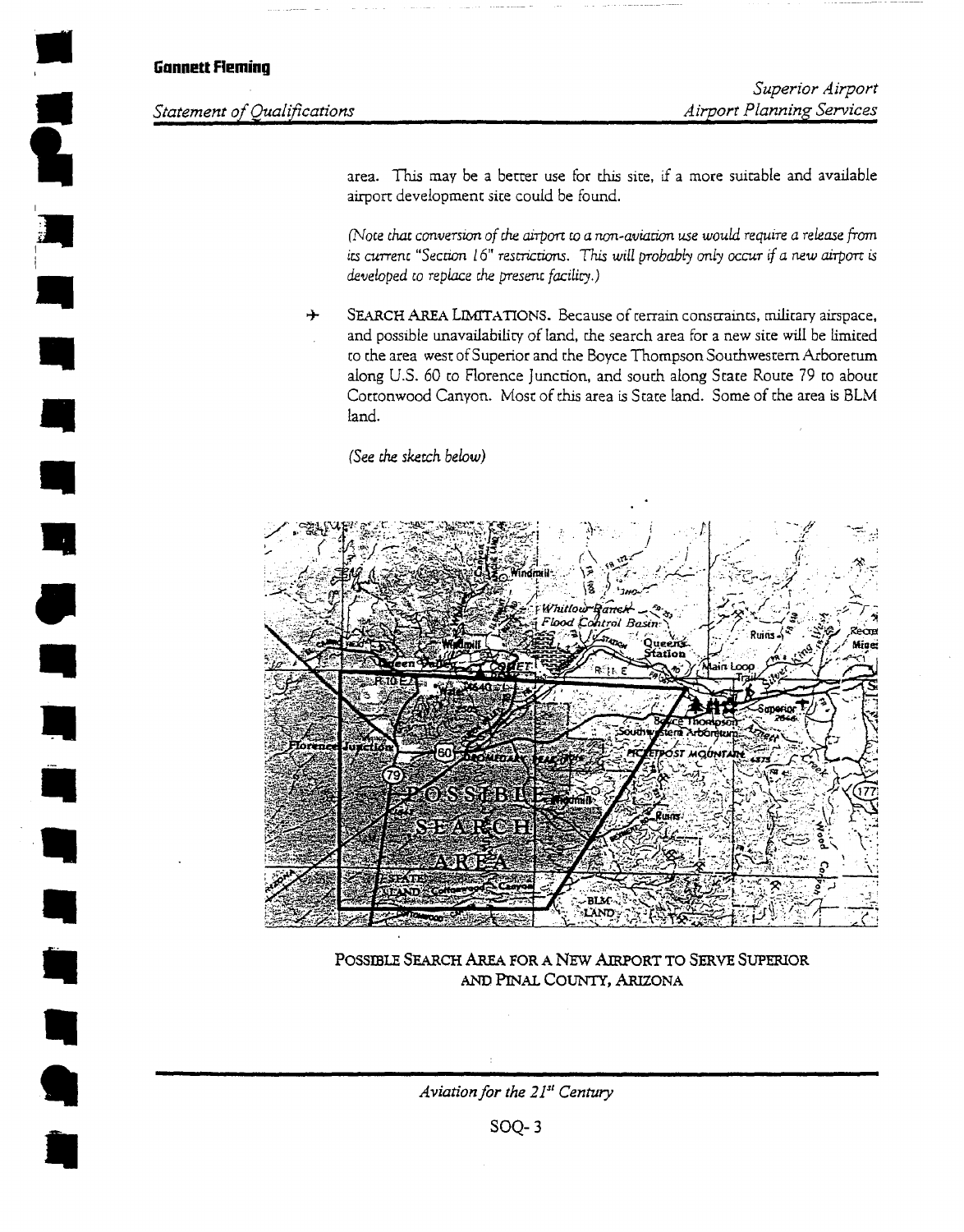### **Gnnnett Fleming**

**.**<br>.

i

*R* 

*!* 

 $\frac{1}{2}$ 

*m* 

*i* 

*m* 

# **Statement of Qualifications**

*Superior Airport Airport Planning Services* 

area. This may be a better use for this site, if a more suitable and available airport development site could be found.

*(Note that converswn of che airport to a non-aviation use would require a release from*  its current "Section 16" restrictions. This will probably only occur if a new airport is *developed to replace the present facility.*)

8- SEARCH AREA LIMITATIONS. Because of rerrain constraints, military airspace, and possible unavailability of land, the search area for a new site will be limited to the area west of Superior and the Boyce Thompson Southwestern Arboretum along U.S. 60 to Florence Junction, and south along Stare Route 79 to about Cottonwood Canyon. Most of this area is State land. Some of the area is BLM Land.

*(See the sketch below)* 



POSSIBLE **SEARCH AREA FOR A NEW AIRPORT TO SERVE SUPERIOR**  AND PINAL COUNTY, ARIZONA

*Aviation for the 21<sup>st</sup> Century*